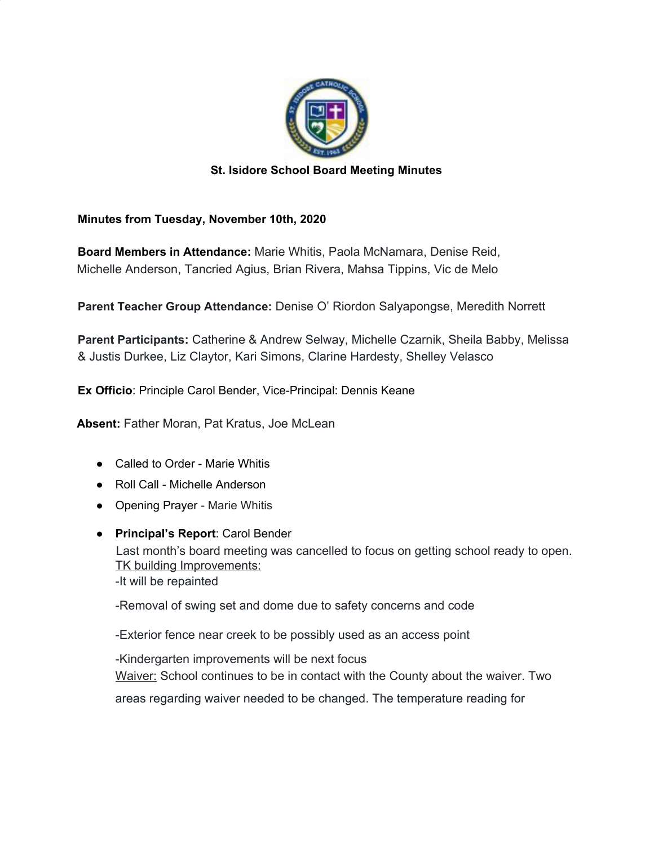

## **St. Isidore School Board Meeting Minutes**

## **Minutes from Tuesday, November 10th, 2020**

**Board Members in Attendance:** Marie Whitis, Paola McNamara, Denise Reid, Michelle Anderson, Tancried Agius, Brian Rivera, Mahsa Tippins, Vic de Melo

**Parent Teacher Group Attendance:** Denise O' Riordon Salyapongse, Meredith Norrett

**Parent Participants:** Catherine & Andrew Selway, Michelle Czarnik, Sheila Babby, Melissa & Justis Durkee, Liz Claytor, Kari Simons, Clarine Hardesty, Shelley Velasco

**Ex Officio**: Principle Carol Bender, Vice-Principal: Dennis Keane

**Absent:** Father Moran, Pat Kratus, Joe McLean

- Called to Order Marie Whitis
- Roll Call Michelle Anderson
- Opening Prayer Marie Whitis
- **Principal's Report**: Carol Bender Last month's board meeting was cancelled to focus on getting school ready to open. TK building Improvements: -It will be repainted

-Removal of swing set and dome due to safety concerns and code

-Exterior fence near creek to be possibly used as an access point

-Kindergarten improvements will be next focus

Waiver: School continues to be in contact with the County about the waiver. Two

areas regarding waiver needed to be changed. The temperature reading for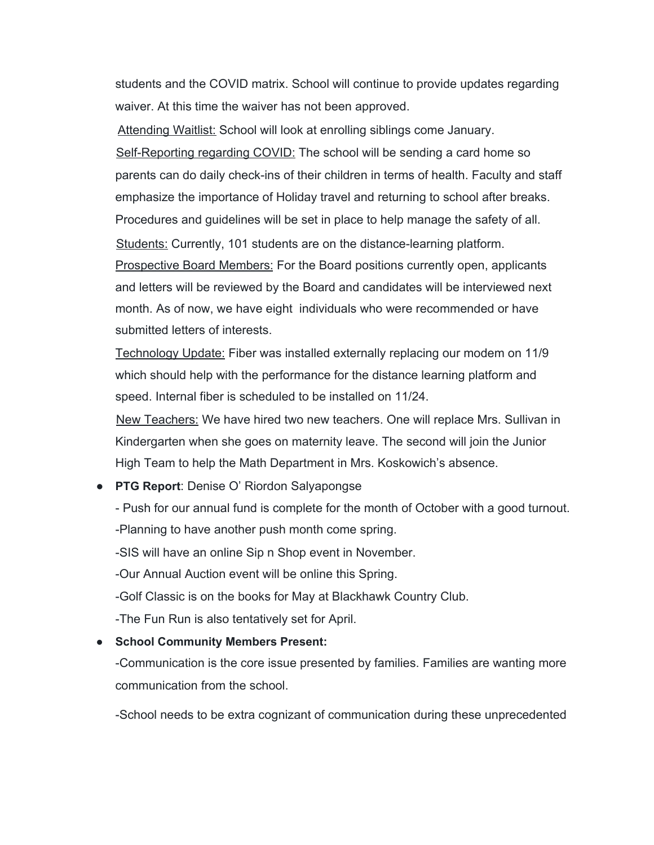students and the COVID matrix. School will continue to provide updates regarding waiver. At this time the waiver has not been approved.

Attending Waitlist: School will look at enrolling siblings come January. Self-Reporting regarding COVID: The school will be sending a card home so parents can do daily check-ins of their children in terms of health. Faculty and staff emphasize the importance of Holiday travel and returning to school after breaks. Procedures and guidelines will be set in place to help manage the safety of all. Students: Currently, 101 students are on the distance-learning platform. Prospective Board Members: For the Board positions currently open, applicants and letters will be reviewed by the Board and candidates will be interviewed next month. As of now, we have eight individuals who were recommended or have submitted letters of interests.

Technology Update: Fiber was installed externally replacing our modem on 11/9 which should help with the performance for the distance learning platform and speed. Internal fiber is scheduled to be installed on 11/24.

New Teachers: We have hired two new teachers. One will replace Mrs. Sullivan in Kindergarten when she goes on maternity leave. The second will join the Junior High Team to help the Math Department in Mrs. Koskowich's absence.

● **PTG Report**: Denise O' Riordon Salyapongse

- Push for our annual fund is complete for the month of October with a good turnout. -Planning to have another push month come spring.

-SIS will have an online Sip n Shop event in November.

-Our Annual Auction event will be online this Spring.

-Golf Classic is on the books for May at Blackhawk Country Club.

-The Fun Run is also tentatively set for April.

## **● School Community Members Present:**

-Communication is the core issue presented by families. Families are wanting more communication from the school.

-School needs to be extra cognizant of communication during these unprecedented